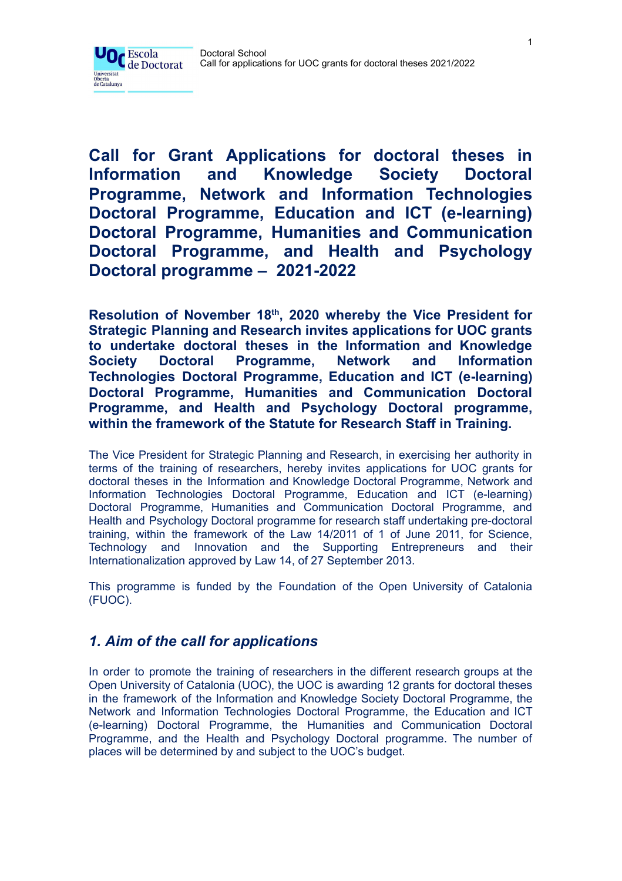

**Call for Grant Applications for doctoral theses in Information and Knowledge Society Doctoral Programme, Network and Information Technologies Doctoral Programme, Education and ICT (e-learning) Doctoral Programme, Humanities and Communication Doctoral Programme, and Health and Psychology Doctoral programme – 2021-2022**

**Resolution of November 18 th , 2020 whereby the Vice President for Strategic Planning and Research invites applications for UOC grants to undertake doctoral theses in the Information and Knowledge Society Doctoral Programme, Network and Information Technologies Doctoral Programme, Education and ICT (e-learning) Doctoral Programme, Humanities and Communication Doctoral Programme, and Health and Psychology Doctoral programme, within the framework of the Statute for Research Staff in Training.**

The Vice President for Strategic Planning and Research, in exercising her authority in terms of the training of researchers, hereby invites applications for UOC grants for doctoral theses in the Information and Knowledge Doctoral Programme, Network and Information Technologies Doctoral Programme, Education and ICT (e-learning) Doctoral Programme, Humanities and Communication Doctoral Programme, and Health and Psychology Doctoral programme for research staff undertaking pre-doctoral training, within the framework of the Law 14/2011 of 1 of June 2011, for Science, Technology and Innovation and the Supporting Entrepreneurs and their Internationalization approved by Law 14, of 27 September 2013.

This programme is funded by the Foundation of the Open University of Catalonia (FUOC).

# *1. Aim of the call for applications*

In order to promote the training of researchers in the different research groups at the Open University of Catalonia (UOC), the UOC is awarding 12 grants for doctoral theses in the framework of the Information and Knowledge Society Doctoral Programme, the Network and Information Technologies Doctoral Programme, the Education and ICT (e-learning) Doctoral Programme, the Humanities and Communication Doctoral Programme, and the Health and Psychology Doctoral programme. The number of places will be determined by and subject to the UOC's budget.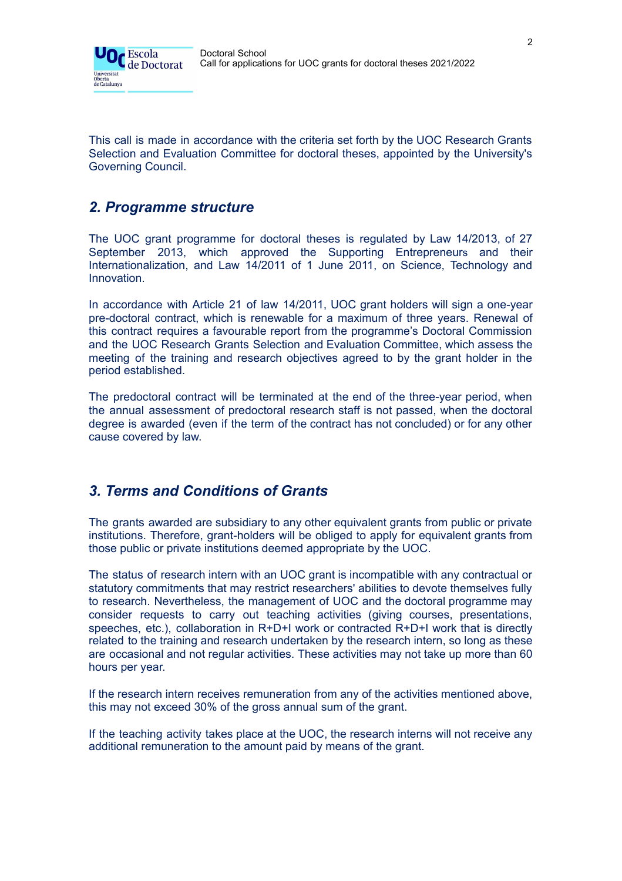

This call is made in accordance with the criteria set forth by the UOC Research Grants Selection and Evaluation Committee for doctoral theses, appointed by the University's Governing Council.

## *2. Programme structure*

The UOC grant programme for doctoral theses is regulated by Law 14/2013, of 27 September 2013, which approved the Supporting Entrepreneurs and their Internationalization, and Law 14/2011 of 1 June 2011, on Science, Technology and Innovation.

In accordance with Article 21 of law 14/2011, UOC grant holders will sign a one-year pre-doctoral contract, which is renewable for a maximum of three years. Renewal of this contract requires a favourable report from the programme's Doctoral Commission and the UOC Research Grants Selection and Evaluation Committee, which assess the meeting of the training and research objectives agreed to by the grant holder in the period established.

The predoctoral contract will be terminated at the end of the three-year period, when the annual assessment of predoctoral research staff is not passed, when the doctoral degree is awarded (even if the term of the contract has not concluded) or for any other cause covered by law.

# *3. Terms and Conditions of Grants*

The grants awarded are subsidiary to any other equivalent grants from public or private institutions. Therefore, grant-holders will be obliged to apply for equivalent grants from those public or private institutions deemed appropriate by the UOC.

The status of research intern with an UOC grant is incompatible with any contractual or statutory commitments that may restrict researchers' abilities to devote themselves fully to research. Nevertheless, the management of UOC and the doctoral programme may consider requests to carry out teaching activities (giving courses, presentations, speeches, etc.), collaboration in R+D+I work or contracted R+D+I work that is directly related to the training and research undertaken by the research intern, so long as these are occasional and not regular activities. These activities may not take up more than 60 hours per year.

If the research intern receives remuneration from any of the activities mentioned above, this may not exceed 30% of the gross annual sum of the grant.

If the teaching activity takes place at the UOC, the research interns will not receive any additional remuneration to the amount paid by means of the grant.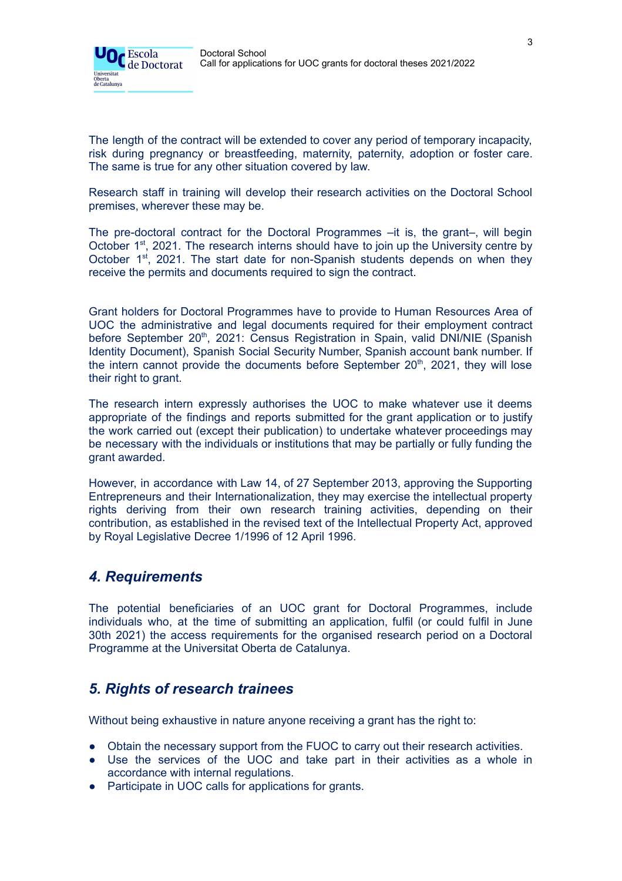

The length of the contract will be extended to cover any period of temporary incapacity, risk during pregnancy or breastfeeding, maternity, paternity, adoption or foster care. The same is true for any other situation covered by law.

Research staff in training will develop their research activities on the Doctoral School premises, wherever these may be.

The pre-doctoral contract for the Doctoral Programmes –it is, the grant–, will begin October 1<sup>st</sup>, 2021. The research interns should have to join up the University centre by October 1<sup>st</sup>, 2021. The start date for non-Spanish students depends on when they receive the permits and documents required to sign the contract.

Grant holders for Doctoral Programmes have to provide to Human Resources Area of UOC the administrative and legal documents required for their employment contract before September 20<sup>th</sup>, 2021: Census Registration in Spain, valid DNI/NIE (Spanish Identity Document), Spanish Social Security Number, Spanish account bank number. If the intern cannot provide the documents before September 20<sup>th</sup>, 2021, they will lose their right to grant.

The research intern expressly authorises the UOC to make whatever use it deems appropriate of the findings and reports submitted for the grant application or to justify the work carried out (except their publication) to undertake whatever proceedings may be necessary with the individuals or institutions that may be partially or fully funding the grant awarded.

However, in accordance with Law 14, of 27 September 2013, approving the Supporting Entrepreneurs and their Internationalization, they may exercise the intellectual property rights deriving from their own research training activities, depending on their contribution, as established in the revised text of the Intellectual Property Act, approved by Royal Legislative Decree 1/1996 of 12 April 1996.

#### *4. Requirements*

The potential beneficiaries of an UOC grant for Doctoral Programmes, include individuals who, at the time of submitting an application, fulfil (or could fulfil in June 30th 2021) the access requirements for the organised research period on a Doctoral Programme at the Universitat Oberta de Catalunya.

# *5. Rights of research trainees*

Without being exhaustive in nature anyone receiving a grant has the right to:

- Obtain the necessary support from the FUOC to carry out their research activities.
- Use the services of the UOC and take part in their activities as a whole in accordance with internal regulations.
- Participate in UOC calls for applications for grants.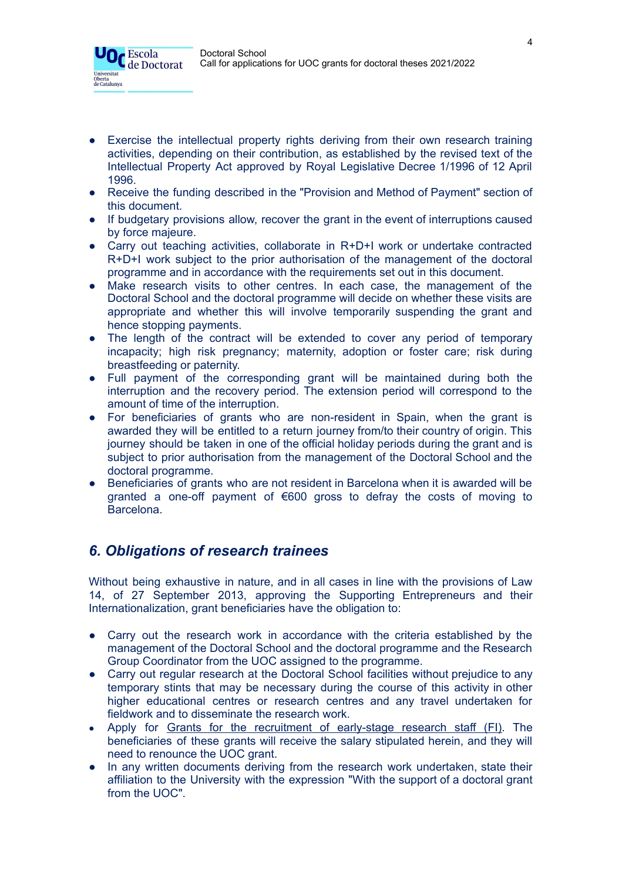

- Exercise the intellectual property rights deriving from their own research training activities, depending on their contribution, as established by the revised text of the Intellectual Property Act approved by Royal Legislative Decree 1/1996 of 12 April 1996.
- Receive the funding described in the "Provision and Method of Payment" section of this document.
- If budgetary provisions allow, recover the grant in the event of interruptions caused by force majeure.
- Carry out teaching activities, collaborate in R+D+I work or undertake contracted R+D+I work subject to the prior authorisation of the management of the doctoral programme and in accordance with the requirements set out in this document.
- Make research visits to other centres. In each case, the management of the Doctoral School and the doctoral programme will decide on whether these visits are appropriate and whether this will involve temporarily suspending the grant and hence stopping payments.
- The length of the contract will be extended to cover any period of temporary incapacity; high risk pregnancy; maternity, adoption or foster care; risk during breastfeeding or paternity.
- Full payment of the corresponding grant will be maintained during both the interruption and the recovery period. The extension period will correspond to the amount of time of the interruption.
- For beneficiaries of grants who are non-resident in Spain, when the grant is awarded they will be entitled to a return journey from/to their country of origin. This journey should be taken in one of the official holiday periods during the grant and is subject to prior authorisation from the management of the Doctoral School and the doctoral programme.
- Beneficiaries of grants who are not resident in Barcelona when it is awarded will be granted a one-off payment of €600 gross to defray the costs of moving to Barcelona.

# *6. Obligations of research trainees*

Without being exhaustive in nature, and in all cases in line with the provisions of Law 14, of 27 September 2013, approving the Supporting Entrepreneurs and their Internationalization, grant beneficiaries have the obligation to:

- Carry out the research work in accordance with the criteria established by the management of the Doctoral School and the doctoral programme and the Research Group Coordinator from the UOC assigned to the programme.
- Carry out regular research at the Doctoral School facilities without prejudice to any temporary stints that may be necessary during the course of this activity in other higher educational centres or research centres and any travel undertaken for fieldwork and to disseminate the research work.
- Apply for Grants for the [recruitment](http://agaur.gencat.cat/en/beques-i-ajuts/convocatories-per-temes/Ajuts-per-a-la-formacio-i-contractacio-de-personal-investigador-novell-FI-2018?evolutiuTramit=1) of early-stage research staff (FI). The beneficiaries of these grants will receive the salary stipulated herein, and they will need to renounce the UOC grant.
- In any written documents deriving from the research work undertaken, state their affiliation to the University with the expression "With the support of a doctoral grant from the UOC".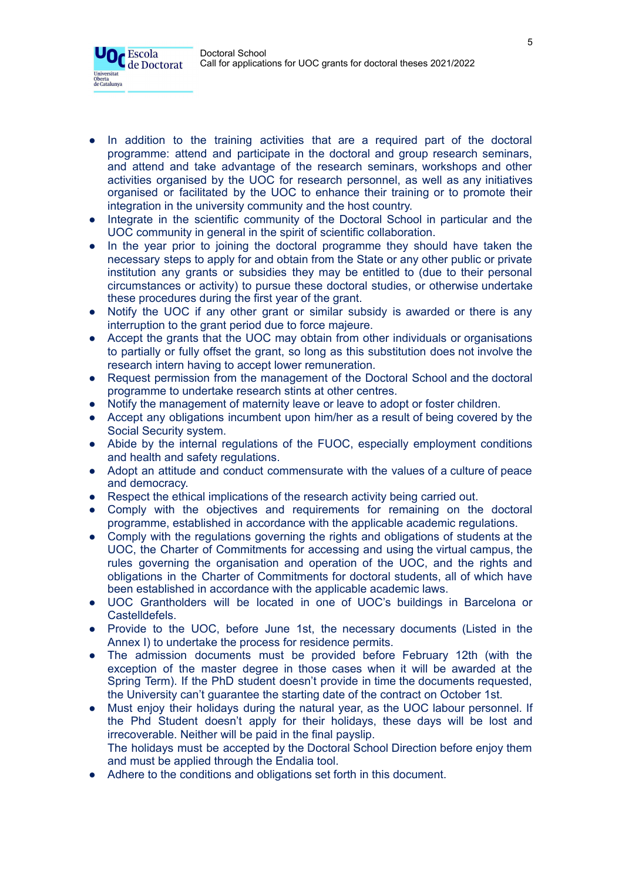

- In addition to the training activities that are a required part of the doctoral programme: attend and participate in the doctoral and group research seminars, and attend and take advantage of the research seminars, workshops and other activities organised by the UOC for research personnel, as well as any initiatives organised or facilitated by the UOC to enhance their training or to promote their integration in the university community and the host country.
- Integrate in the scientific community of the Doctoral School in particular and the UOC community in general in the spirit of scientific collaboration.
- In the year prior to joining the doctoral programme they should have taken the necessary steps to apply for and obtain from the State or any other public or private institution any grants or subsidies they may be entitled to (due to their personal circumstances or activity) to pursue these doctoral studies, or otherwise undertake these procedures during the first year of the grant.
- Notify the UOC if any other grant or similar subsidy is awarded or there is any interruption to the grant period due to force majeure.
- Accept the grants that the UOC may obtain from other individuals or organisations to partially or fully offset the grant, so long as this substitution does not involve the research intern having to accept lower remuneration.
- Request permission from the management of the Doctoral School and the doctoral programme to undertake research stints at other centres.
- Notify the management of maternity leave or leave to adopt or foster children.
- Accept any obligations incumbent upon him/her as a result of being covered by the Social Security system.
- Abide by the internal regulations of the FUOC, especially employment conditions and health and safety regulations.
- Adopt an attitude and conduct commensurate with the values of a culture of peace and democracy.
- Respect the ethical implications of the research activity being carried out.
- Comply with the objectives and requirements for remaining on the doctoral programme, established in accordance with the applicable academic regulations.
- Comply with the regulations governing the rights and obligations of students at the UOC, the Charter of Commitments for accessing and using the virtual campus, the rules governing the organisation and operation of the UOC, and the rights and obligations in the Charter of Commitments for doctoral students, all of which have been established in accordance with the applicable academic laws.
- UOC Grantholders will be located in one of UOC's buildings in Barcelona or Castelldefels.
- Provide to the UOC, before June 1st, the necessary documents (Listed in the Annex I) to undertake the process for residence permits.
- The admission documents must be provided before February 12th (with the exception of the master degree in those cases when it will be awarded at the Spring Term). If the PhD student doesn't provide in time the documents requested, the University can't guarantee the starting date of the contract on October 1st.
- Must enjoy their holidays during the natural year, as the UOC labour personnel. If the Phd Student doesn't apply for their holidays, these days will be lost and irrecoverable. Neither will be paid in the final payslip. The holidays must be accepted by the Doctoral School Direction before enjoy them and must be applied through the Endalia tool.
- Adhere to the conditions and obligations set forth in this document.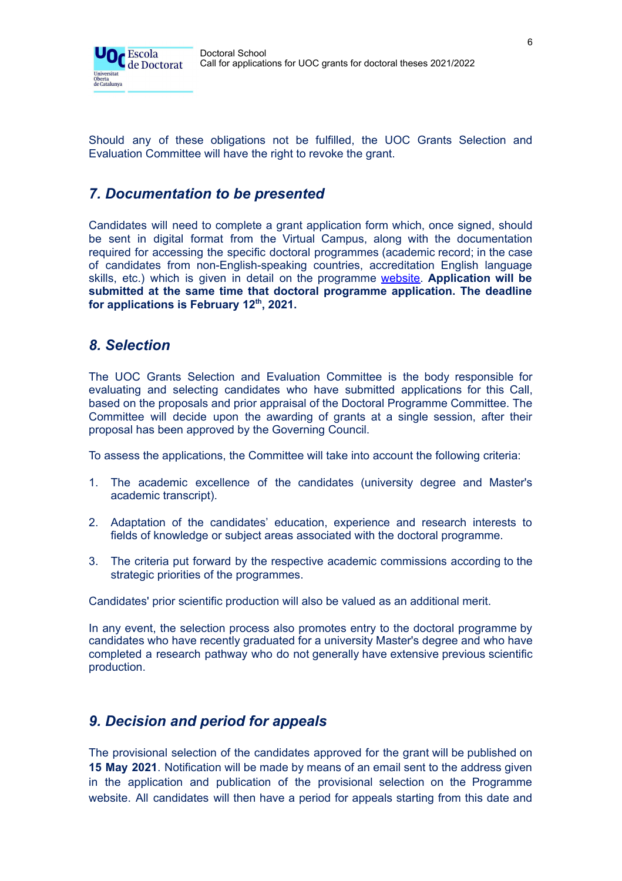

Should any of these obligations not be fulfilled, the UOC Grants Selection and Evaluation Committee will have the right to revoke the grant.

# *7. Documentation to be presented*

Candidates will need to complete a grant application form which, once signed, should be sent in digital format from the Virtual Campus, along with the documentation required for accessing the specific doctoral programmes (academic record; in the case of candidates from non-English-speaking countries, accreditation English language skills, etc.) which is given in detail on the programme [website.](https://www.uoc.edu/portal/en/escola-doctorat/index.html) **Application will be submitted at the same time that doctoral programme application. The deadline for applications is February 12 th , 2021.**

### *8. Selection*

The UOC Grants Selection and Evaluation Committee is the body responsible for evaluating and selecting candidates who have submitted applications for this Call, based on the proposals and prior appraisal of the Doctoral Programme Committee. The Committee will decide upon the awarding of grants at a single session, after their proposal has been approved by the Governing Council.

To assess the applications, the Committee will take into account the following criteria:

- 1. The academic excellence of the candidates (university degree and Master's academic transcript).
- 2. Adaptation of the candidates' education, experience and research interests to fields of knowledge or subject areas associated with the doctoral programme.
- 3. The criteria put forward by the respective academic commissions according to the strategic priorities of the programmes.

Candidates' prior scientific production will also be valued as an additional merit.

In any event, the selection process also promotes entry to the doctoral programme by candidates who have recently graduated for a university Master's degree and who have completed a research pathway who do not generally have extensive previous scientific production.

# *9. Decision and period for appeals*

The provisional selection of the candidates approved for the grant will be published on **15 May 2021**. Notification will be made by means of an email sent to the address given in the application and publication of the provisional selection on the Programme website. All candidates will then have a period for appeals starting from this date and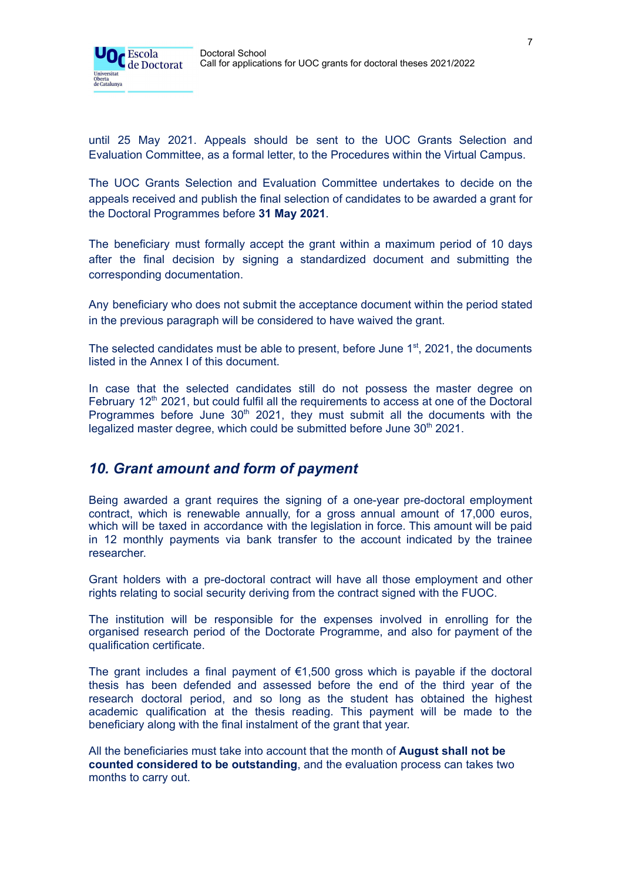

until 25 May 2021. Appeals should be sent to the UOC Grants Selection and Evaluation Committee, as a formal letter, to the Procedures within the Virtual Campus.

The UOC Grants Selection and Evaluation Committee undertakes to decide on the appeals received and publish the final selection of candidates to be awarded a grant for the Doctoral Programmes before **31 May 2021**.

The beneficiary must formally accept the grant within a maximum period of 10 days after the final decision by signing a standardized document and submitting the corresponding documentation.

Any beneficiary who does not submit the acceptance document within the period stated in the previous paragraph will be considered to have waived the grant.

The selected candidates must be able to present, before June  $1<sup>st</sup>$ , 2021, the documents listed in the Annex I of this document.

In case that the selected candidates still do not possess the master degree on February 12<sup>th</sup> 2021, but could fulfil all the requirements to access at one of the Doctoral Programmes before June  $30<sup>th</sup>$  2021, they must submit all the documents with the legalized master degree, which could be submitted before June 30<sup>th</sup> 2021.

#### *10. Grant amount and form of payment*

Being awarded a grant requires the signing of a one-year pre-doctoral employment contract, which is renewable annually, for a gross annual amount of 17,000 euros, which will be taxed in accordance with the legislation in force. This amount will be paid in 12 monthly payments via bank transfer to the account indicated by the trainee researcher.

Grant holders with a pre-doctoral contract will have all those employment and other rights relating to social security deriving from the contract signed with the FUOC.

The institution will be responsible for the expenses involved in enrolling for the organised research period of the Doctorate Programme, and also for payment of the qualification certificate.

The grant includes a final payment of  $\epsilon$ 1,500 gross which is payable if the doctoral thesis has been defended and assessed before the end of the third year of the research doctoral period, and so long as the student has obtained the highest academic qualification at the thesis reading. This payment will be made to the beneficiary along with the final instalment of the grant that year.

All the beneficiaries must take into account that the month of **August shall not be counted considered to be outstanding**, and the evaluation process can takes two months to carry out.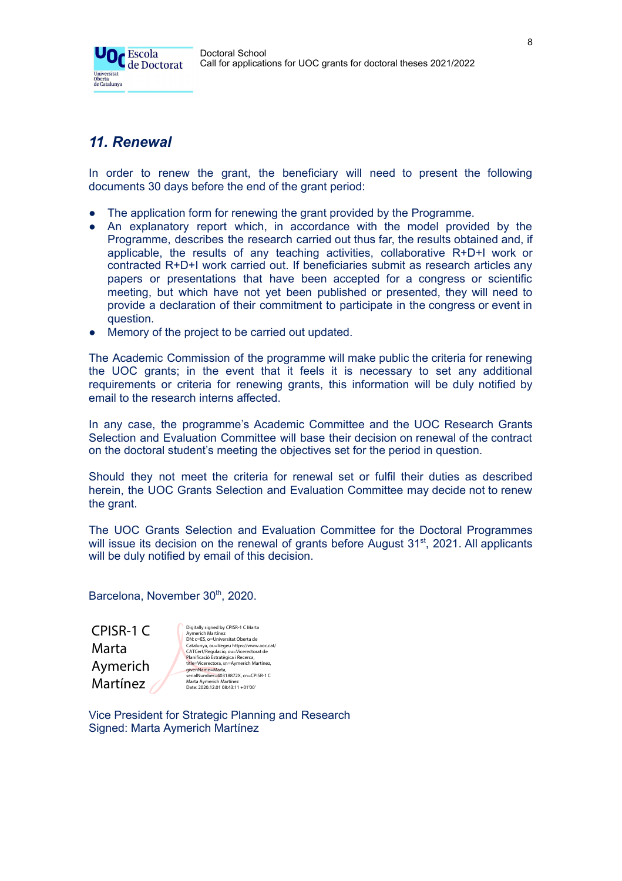



# *11. Renewal*

In order to renew the grant, the beneficiary will need to present the following documents 30 days before the end of the grant period:

- The application form for renewing the grant provided by the Programme.
- An explanatory report which, in accordance with the model provided by the Programme, describes the research carried out thus far, the results obtained and, if applicable, the results of any teaching activities, collaborative R+D+I work or contracted R+D+I work carried out. If beneficiaries submit as research articles any papers or presentations that have been accepted for a congress or scientific meeting, but which have not yet been published or presented, they will need to provide a declaration of their commitment to participate in the congress or event in question.
- Memory of the project to be carried out updated.

The Academic Commission of the programme will make public the criteria for renewing the UOC grants; in the event that it feels it is necessary to set any additional requirements or criteria for renewing grants, this information will be duly notified by email to the research interns affected.

In any case, the programme's Academic Committee and the UOC Research Grants Selection and Evaluation Committee will base their decision on renewal of the contract on the doctoral student's meeting the objectives set for the period in question.

Should they not meet the criteria for renewal set or fulfil their duties as described herein, the UOC Grants Selection and Evaluation Committee may decide not to renew the grant.

The UOC Grants Selection and Evaluation Committee for the Doctoral Programmes will issue its decision on the renewal of grants before August  $31<sup>st</sup>$ , 2021. All applicants will be duly notified by email of this decision.

Barcelona, November 30th, 2020.

CPISR-1 C Marta Aymerich Martínez

Digitally signed by CPISR-1 C Marta<br>Aymerich Martínez<br>DN: c=ES, o=Universitat Oberta de<br>Catalunya, ou=Vegeu https://www.aoc.cat/<br>CATCert/Regulacio, ou=Vicerectorat de<br>Planificació Estratègica i Recerca, title=Vicerectora, sn=Aymerich Martínez,<br>givenName==40arta,<br>serialNumber=40318872X, cn=CPISR-1 C<br>Marta Aymerich Martínez<br>Date: 2020.12.01 08:43:11 +01'00'

Vice President for Strategic Planning and Research Signed: Marta Aymerich Martínez